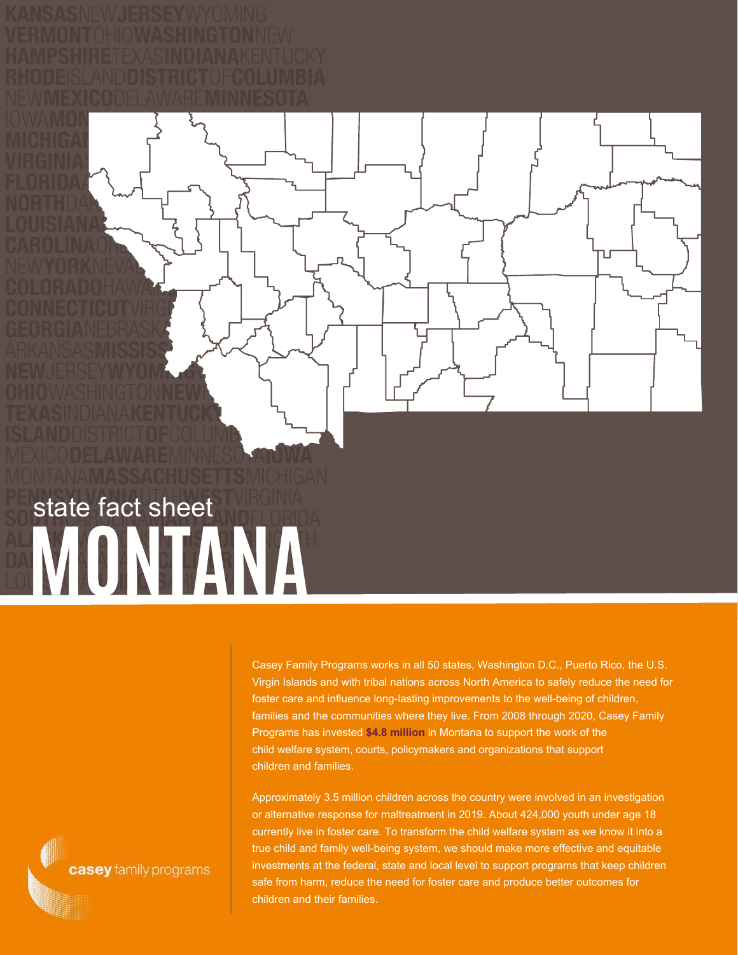**MONTANA** state fact sheet

> Casey Family Programs works in all 50 states, Washington D.C., Puerto Rico, the U.S. Virgin Islands and with tribal nations across North America to safely reduce the need for foster care and influence long-lasting improvements to the well-being of children, families and the communities where they live. From 2008 through 2020, Casey Family Programs has invested **\$4.8 million** in Montana to support the work of the child welfare system, courts, policymakers and organizations that support children and families.

Approximately 3.5 million children across the country were involved in an investigation or alternative response for maltreatment in 2019. About 424,000 youth under age 18 currently live in foster care. To transform the child welfare system as we know it into a true child and family well-being system, we should make more effective and equitable investments at the federal, state and local level to support programs that keep children safe from harm, reduce the need for foster care and produce better outcomes for children and their families.

casey family programs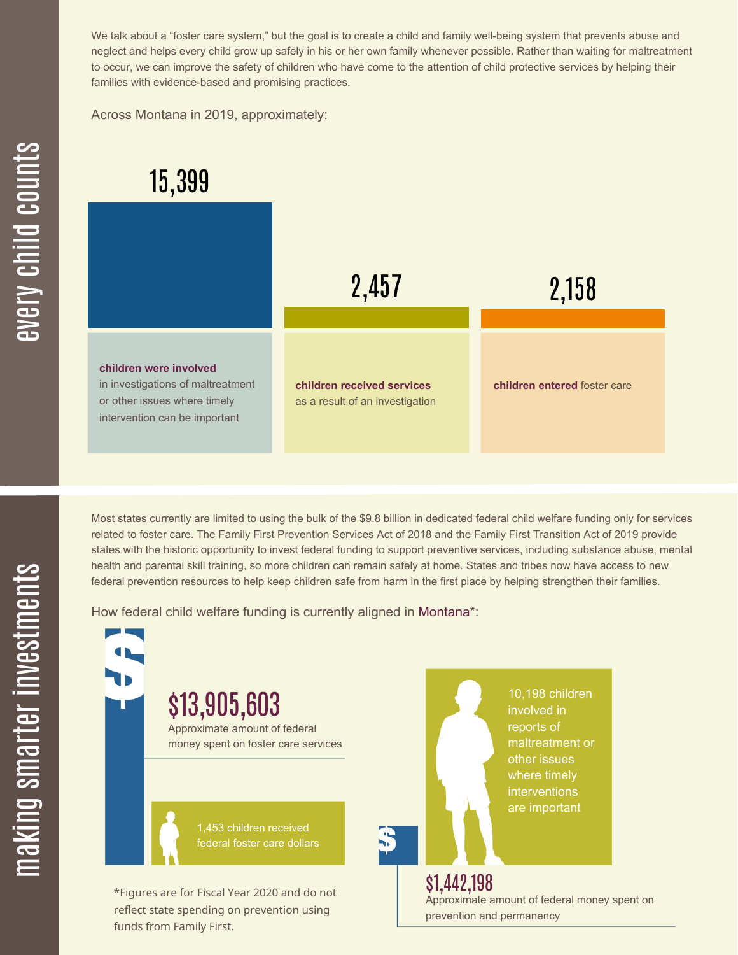We talk about a "foster care system," but the goal is to create a child and family well-being system that prevents abuse and neglect and helps every child grow up safely in his or her own family whenever possible. Rather than waiting for maltreatment to occur, we can improve the safety of children who have come to the attention of child protective services by helping their families with evidence-based and promising practices.

Across Montana in 2019, approximately:

## 15,399



Most states currently are limited to using the bulk of the \$9.8 billion in dedicated federal child welfare funding only for services related to foster care. The Family First Prevention Services Act of 2018 and the Family First Transition Act of 2019 provide states with the historic opportunity to invest federal funding to support preventive services, including substance abuse, mental health and parental skill training, so more children can remain safely at home. States and tribes now have access to new federal prevention resources to help keep children safe from harm in the first place by helping strengthen their families.

How federal child welfare funding is currently aligned in Montana\*:

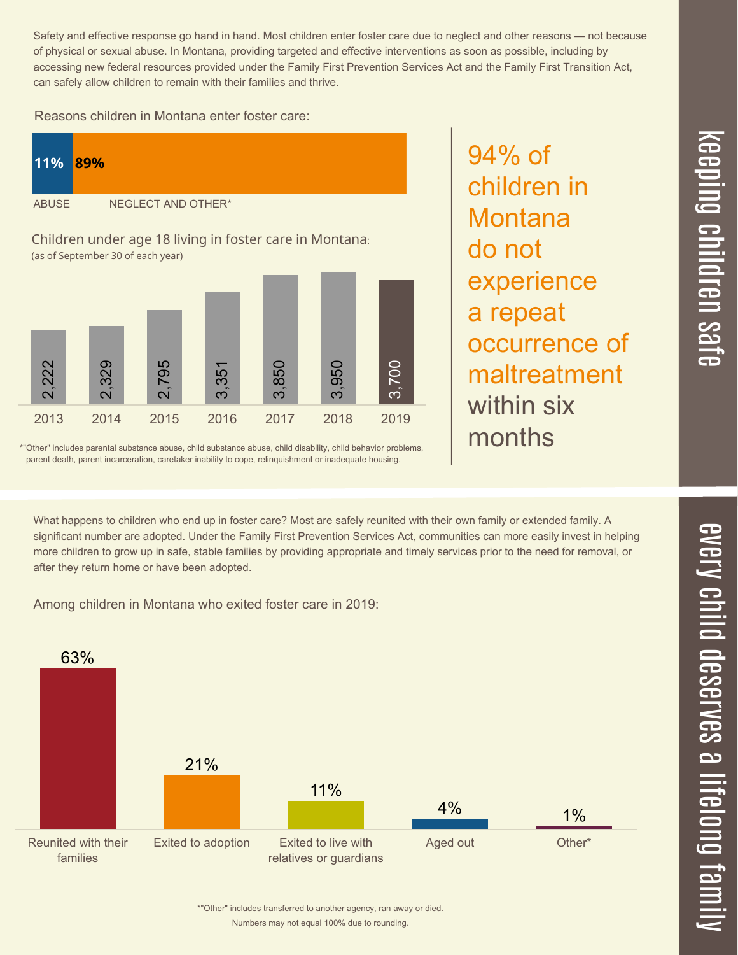$\overline{\phantom{1}}$  $\overline{\mathbf \Theta}$  $\overline{\mathbf{C}}$ <u>pin</u>  $\overline{\mathbf{C}}$  $\overline{\mathbf{C}}$  $\equiv$  $\overline{\mathbf{c}}$  $\overline{\phantom{0}}$  $\boldsymbol{\mathcal{O}}$ a  $\overrightarrow{\mathbf{e}}$ 

Safety and effective response go hand in hand. Most children enter foster care due to neglect and other reasons — not because of physical or sexual abuse. In Montana, providing targeted and effective interventions as soon as possible, including by accessing new federal resources provided under the Family First Prevention Services Act and the Family First Transition Act, can safely allow children to remain with their families and thrive.

94% of

children in

experience

occurrence of

maltreatment

**Montana** 

a repeat

within six

months

do not

Reasons children in Montana enter foster care:



\*"Other" includes parental substance abuse, child substance abuse, child disability, child behavior problems, parent death, parent incarceration, caretaker inability to cope, relinquishment or inadequate housing.

What happens to children who end up in foster care? Most are safely reunited with their own family or extended family. A significant number are adopted. Under the Family First Prevention Services Act, communities can more easily invest in helping more children to grow up in safe, stable families by providing appropriate and timely services prior to the need for removal, or after they return home or have been adopted.

Among children in Montana who exited foster care in 2019:



Numbers may not equal 100% due to rounding. \*"Other" includes transferred to another agency, ran away or died.